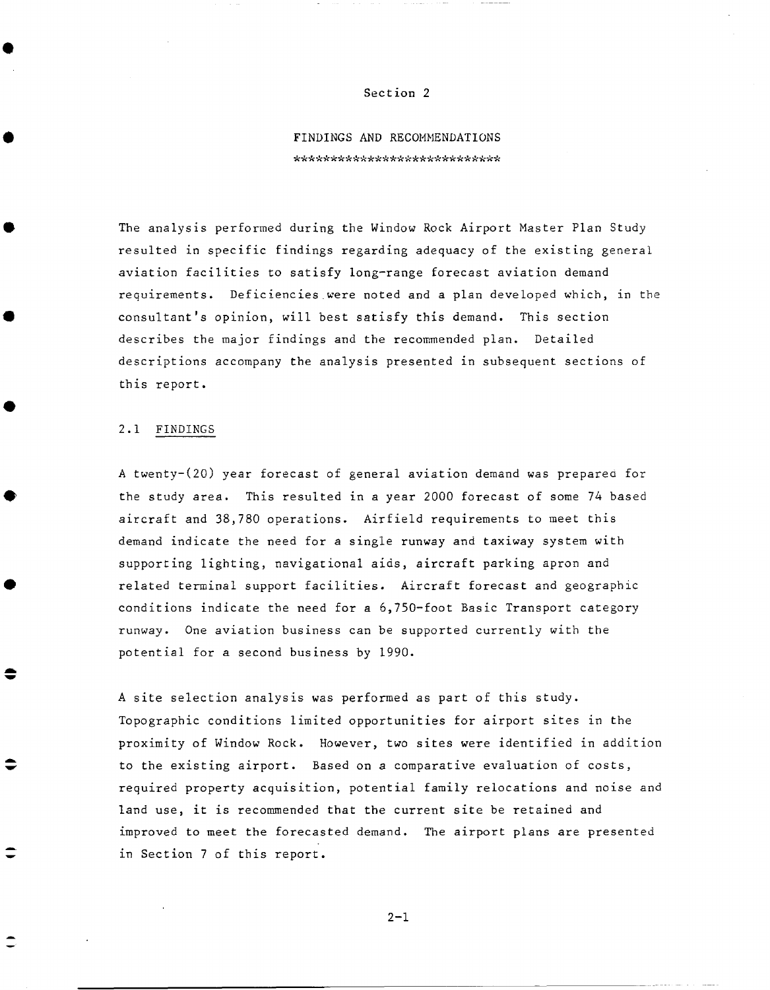## Section 2

## FINDINGS AND RECOMMENDATIONS \*\*\*\*\*\*\*\*\*\*\*\*\*\*\*\*\*\*\*\*\*\*\*\*\*\*\*\*

The analysis performed during the Window Rock Airport Master Plan Study resulted in specific findings regarding adequacy of the existing general aviation facilities to satisfy long-range forecast aviation demand requirements. Deficiencies were noted and a plan developed which, in the consultant's opinion, will best satisfy this demand. This section describes the major findings and the recommended plan. Detailed descriptions accompany the analysis presented in subsequent sections of this report.

## 2.1 FINDINGS

A twenty-(20) year forecast of general aviation demand was preparea for the study area. This resulted in a year 2000 forecast of some 74 based aircraft and 38,780 operations. Airfield requirements to meet this demand indicate the need for a single runway and taxiway system with supporting lighting, navigational aids, aircraft parking apron and related terminal support facilities. Aircraft forecast and geographic conditions indicate the need for a 6,750-foot Basic Transport category runway. One aviation business can be supported currently with the potential for a second business by 1990.

A site selection analysis was performed as part of this study. Topographic conditions limited opportunities for airport sites in the proximity of Window Rock. However, two sites were identified in addition to the existing airport. Based on a comparative evaluation of costs, required property acquisition, potential family relocations and noise and land use, it is recommended that the current site be retained and improved to meet the forecasted demand. The airport plans are presented in Section 7 of this report.

 $2 - 1$